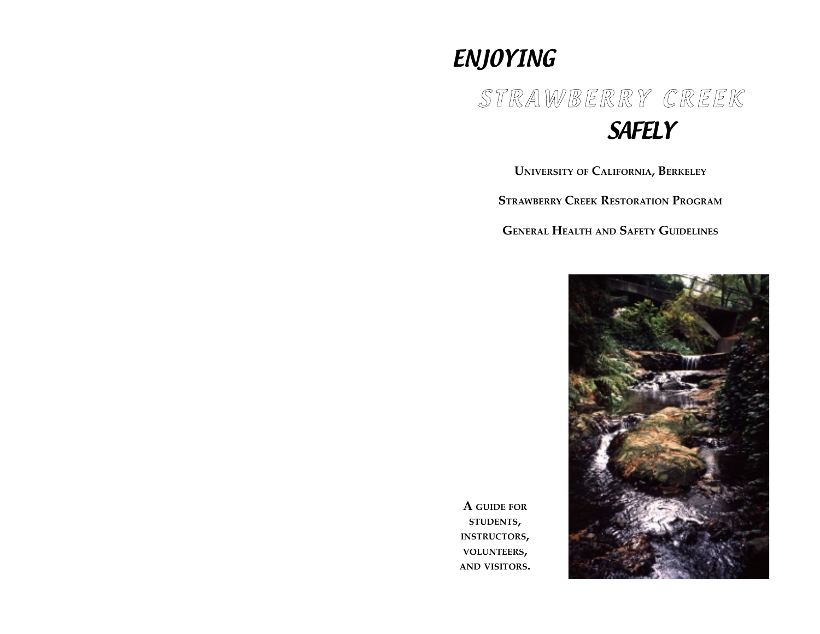## ENJOYING

# STRAWBERRY CREEK SAFELY

**UNIVERSITY OF CALIFORNIA, BERKELEY**

**STRAWBERRY CREEK RESTORATION PROGRAM** 

**GENERAL HEALTH AND SAFETY GUIDELINES**



**A GUIDE FOR STUDENTS, INSTRUCTORS, VOLUNTEERS, AND VISITORS.**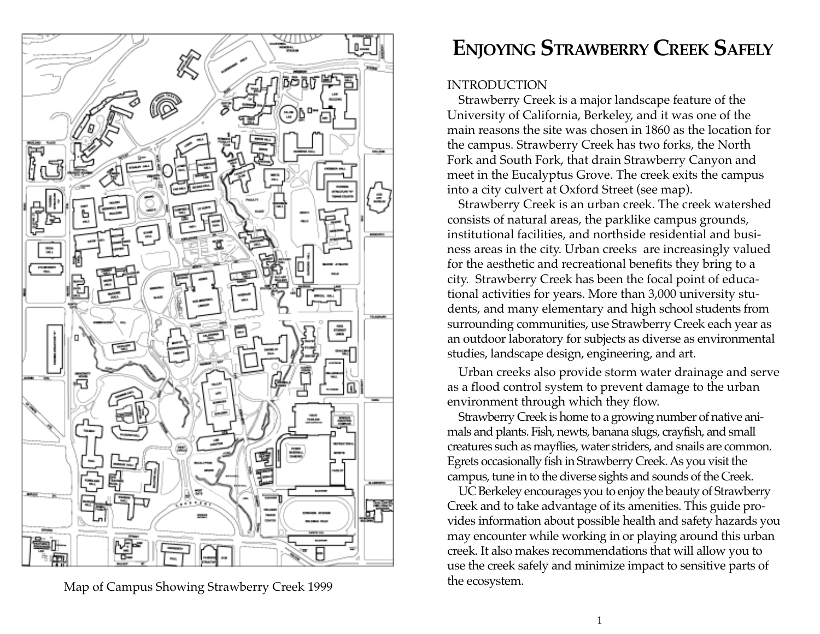

Map of Campus Showing Strawberry Creek 1999

## **ENJOYING STRAWBERRY CREEK SAFELY**

#### **INTRODUCTION**

Strawberry Creek is a major landscape feature of the University of California, Berkeley, and it was one of the main reasons the site was chosen in 1860 as the location for the campus. Strawberry Creek has two forks, the North Fork and South Fork, that drain Strawberry Canyon and meet in the Eucalyptus Grove. The creek exits the campus into a city culvert at Oxford Street (see map).

Strawberry Creek is an urban creek. The creek watershed consists of natural areas, the parklike campus grounds, institutional facilities, and northside residential and business areas in the city. Urban creeks are increasingly valued for the aesthetic and recreational benefits they bring to a city. Strawberry Creek has been the focal point of educational activities for years. More than 3,000 university students, and many elementary and high school students from surrounding communities, use Strawberry Creek each year as an outdoor laboratory for subjects as diverse as environmental studies, landscape design, engineering, and art.

Urban creeks also provide storm water drainage and serve as a flood control system to prevent damage to the urban environment through which they flow.

Strawberry Creek is home to a growing number of native animals and plants. Fish, newts, banana slugs, crayfish, and small creatures such as mayflies, water striders, and snails are common. Egrets occasionally fish in Strawberry Creek. As you visit the campus, tune in to the diverse sights and sounds of the Creek.

UC Berkeley encourages you to enjoy the beauty of Strawberry Creek and to take advantage of its amenities. This guide provides information about possible health and safety hazards you may encounter while working in or playing around this urban creek. It also makes recommendations that will allow you to use the creek safely and minimize impact to sensitive parts of the ecosystem.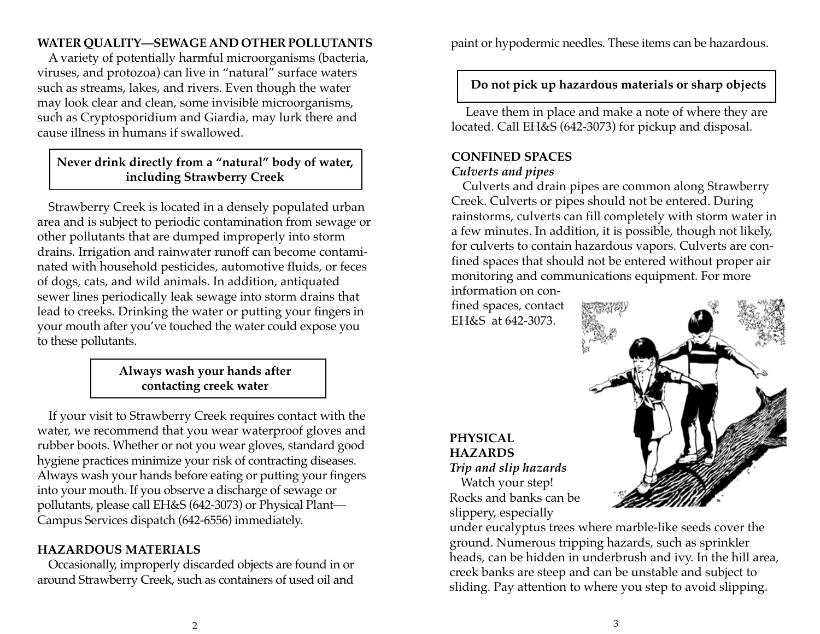## **WATER QUALITY—SEWAGE AND OTHER POLLUTANTS**

A variety of potentially harmful microorganisms (bacteria, viruses, and protozoa) can live in "natural" surface waters such as streams, lakes, and rivers. Even though the water may look clear and clean, some invisible microorganisms, such as Cryptosporidium and Giardia, may lurk there and cause illness in humans if swallowed.

## **Never drink directly from a "natural" body of water, including Strawberry Creek**

Strawberry Creek is located in a densely populated urban area and is subject to periodic contamination from sewage or other pollutants that are dumped improperly into storm drains. Irrigation and rainwater runoff can become contaminated with household pesticides, automotive fluids, or feces of dogs, cats, and wild animals. In addition, antiquated sewer lines periodically leak sewage into storm drains that lead to creeks. Drinking the water or putting your fingers in your mouth after you've touched the water could expose you to these pollutants.

## **Always wash your hands after contacting creek water**

If your visit to Strawberry Creek requires contact with the water, we recommend that you wear waterproof gloves and rubber boots. Whether or not you wear gloves, standard good hygiene practices minimize your risk of contracting diseases. Always wash your hands before eating or putting your fingers into your mouth. If you observe a discharge of sewage or pollutants, please call EH&S (642-3073) or Physical Plant— Campus Services dispatch (642-6556) immediately.

## **HAZARDOUS MATERIALS**

Occasionally, improperly discarded objects are found in or around Strawberry Creek, such as containers of used oil and

paint or hypodermic needles. These items can be hazardous.

## **Do not pick up hazardous materials or sharp objects**

 Leave them in place and make a note of where they are located. Call EH&S (642-3073) for pickup and disposal.

## **CONFINED SPACES**

#### *Culverts and pipes*

Culverts and drain pipes are common along Strawberry Creek. Culverts or pipes should not be entered. During rainstorms, culverts can fill completely with storm water in a few minutes. In addition, it is possible, though not likely, for culverts to contain hazardous vapors. Culverts are confined spaces that should not be entered without proper air monitoring and communications equipment. For more

information on confined spaces, contact EH&S at 642-3073.

#### **PHYSICAL HAZARDS** *Trip and slip hazards*

Watch your step! Rocks and banks can be slippery, especially

under eucalyptus trees where marble-like seeds cover the ground. Numerous tripping hazards, such as sprinkler heads, can be hidden in underbrush and ivy. In the hill area, creek banks are steep and can be unstable and subject to sliding. Pay attention to where you step to avoid slipping.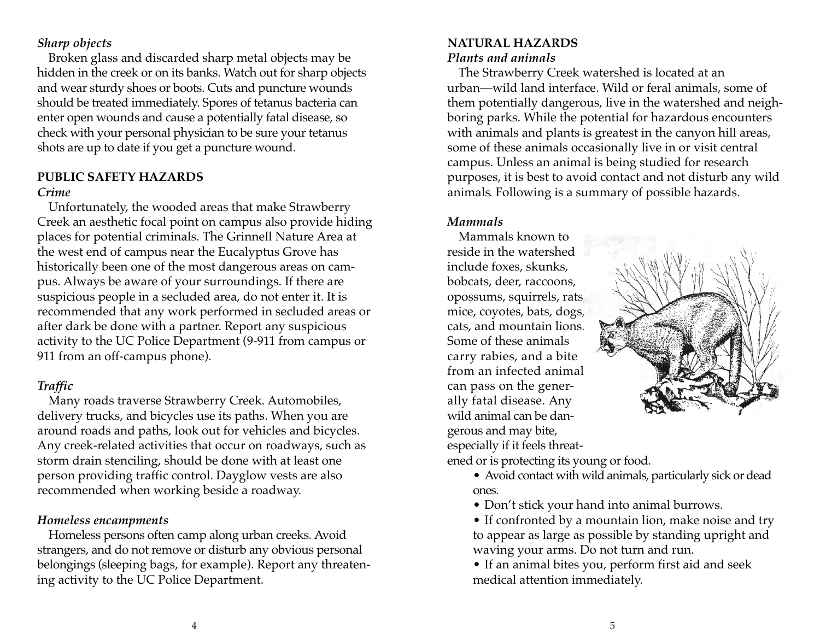#### *Sharp objects*

Broken glass and discarded sharp metal objects may be hidden in the creek or on its banks. Watch out for sharp objects and wear sturdy shoes or boots. Cuts and puncture wounds should be treated immediately. Spores of tetanus bacteria can enter open wounds and cause a potentially fatal disease, so check with your personal physician to be sure your tetanus shots are up to date if you get a puncture wound.

## **PUBLIC SAFETY HAZARDS**

#### *Crime*

Unfortunately, the wooded areas that make Strawberry Creek an aesthetic focal point on campus also provide hiding places for potential criminals. The Grinnell Nature Area at the west end of campus near the Eucalyptus Grove has historically been one of the most dangerous areas on campus. Always be aware of your surroundings. If there are suspicious people in a secluded area, do not enter it. It is recommended that any work performed in secluded areas or after dark be done with a partner. Report any suspicious activity to the UC Police Department (9-911 from campus or 911 from an off-campus phone).

## *Traffic*

Many roads traverse Strawberry Creek. Automobiles, delivery trucks, and bicycles use its paths. When you are around roads and paths, look out for vehicles and bicycles. Any creek-related activities that occur on roadways, such as storm drain stenciling, should be done with at least one person providing traffic control. Dayglow vests are also recommended when working beside a roadway.

#### *Homeless encampments*

Homeless persons often camp along urban creeks. Avoid strangers, and do not remove or disturb any obvious personal belongings (sleeping bags, for example). Report any threatening activity to the UC Police Department.

### **NATURAL HAZARDS** *Plants and animals*

The Strawberry Creek watershed is located at an urban—wild land interface. Wild or feral animals, some of them potentially dangerous, live in the watershed and neighboring parks. While the potential for hazardous encounters with animals and plants is greatest in the canyon hill areas, some of these animals occasionally live in or visit central campus. Unless an animal is being studied for research purposes, it is best to avoid contact and not disturb any wild animals. Following is a summary of possible hazards.

## *Mammals*

Mammals known to reside in the watershed include foxes, skunks, bobcats, deer, raccoons, opossums, squirrels, rats, mice, coyotes, bats, dogs, cats, and mountain lions. Some of these animals carry rabies, and a bite from an infected animal can pass on the generally fatal disease. Any wild animal can be dangerous and may bite, especially if it feels threatened or is protecting its young or food.



• Avoid contact with wild animals, particularly sick or dead ones.

- Don't stick your hand into animal burrows.
- If confronted by a mountain lion, make noise and try to appear as large as possible by standing upright and waving your arms. Do not turn and run.

• If an animal bites you, perform first aid and seek medical attention immediately.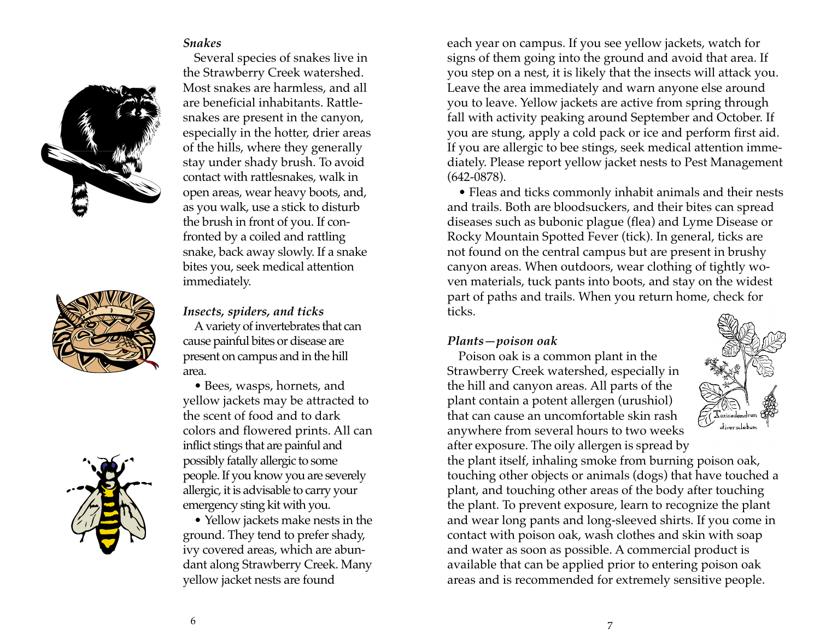#### *Snakes*



Several species of snakes live in the Strawberry Creek watershed. Most snakes are harmless, and all are beneficial inhabitants. Rattlesnakes are present in the canyon, especially in the hotter, drier areas of the hills, where they generally stay under shady brush. To avoid contact with rattlesnakes, walk in open areas, wear heavy boots, and, as you walk, use a stick to disturb the brush in front of you. If confronted by a coiled and rattling snake, back away slowly. If a snake bites you, seek medical attention immediately.



*Insects, spiders, and ticks*

A variety of invertebrates that can cause painful bites or disease are present on campus and in the hill area.

• Bees, wasps, hornets, and yellow jackets may be attracted to the scent of food and to dark colors and flowered prints. All can inflict stings that are painful and possibly fatally allergic to some people. If you know you are severely allergic, it is advisable to carry your emergency sting kit with you.

• Yellow jackets make nests in the ground. They tend to prefer shady, ivy covered areas, which are abundant along Strawberry Creek. Many yellow jacket nests are found

each year on campus. If you see yellow jackets, watch for signs of them going into the ground and avoid that area. If you step on a nest, it is likely that the insects will attack you. Leave the area immediately and warn anyone else around you to leave. Yellow jackets are active from spring through fall with activity peaking around September and October. If you are stung, apply a cold pack or ice and perform first aid. If you are allergic to bee stings, seek medical attention immediately. Please report yellow jacket nests to Pest Management (642-0878).

• Fleas and ticks commonly inhabit animals and their nests and trails. Both are bloodsuckers, and their bites can spread diseases such as bubonic plague (flea) and Lyme Disease or Rocky Mountain Spotted Fever (tick). In general, ticks are not found on the central campus but are present in brushy canyon areas. When outdoors, wear clothing of tightly woven materials, tuck pants into boots, and stay on the widest part of paths and trails. When you return home, check for ticks.

#### *Plants—poison oak*

Poison oak is a common plant in the Strawberry Creek watershed, especially in the hill and canyon areas. All parts of the plant contain a potent allergen (urushiol) that can cause an uncomfortable skin rash anywhere from several hours to two weeks after exposure. The oily allergen is spread by



the plant itself, inhaling smoke from burning poison oak, touching other objects or animals (dogs) that have touched a plant, and touching other areas of the body after touching the plant. To prevent exposure, learn to recognize the plant and wear long pants and long-sleeved shirts. If you come in contact with poison oak, wash clothes and skin with soap and water as soon as possible. A commercial product is available that can be applied prior to entering poison oak areas and is recommended for extremely sensitive people.

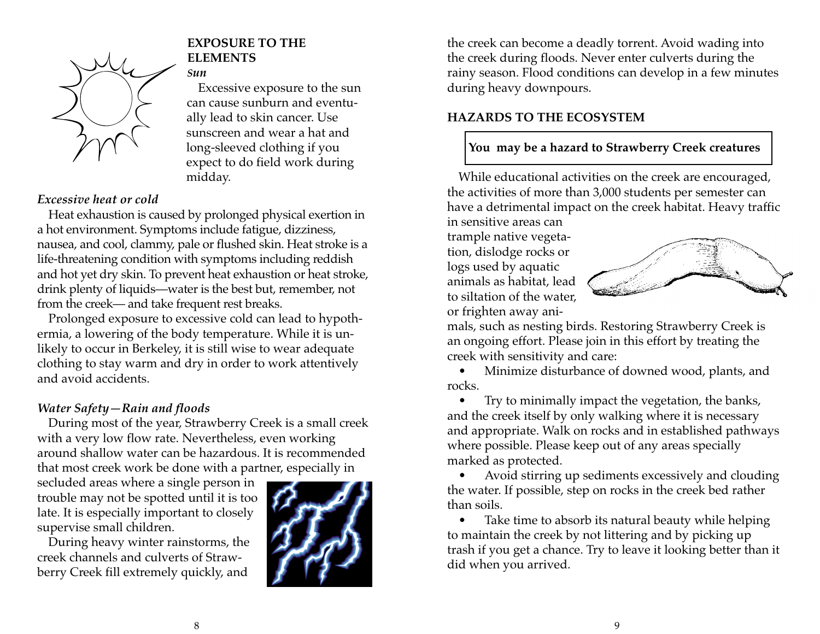

#### **EXPOSURE TO THE ELEMENTS**

## *Sun*

Excessive exposure to the sun can cause sunburn and eventually lead to skin cancer. Use sunscreen and wear a hat and long-sleeved clothing if you expect to do field work during midday.

#### *Excessive heat or cold*

Heat exhaustion is caused by prolonged physical exertion in a hot environment. Symptoms include fatigue, dizziness, nausea, and cool, clammy, pale or flushed skin. Heat stroke is a life-threatening condition with symptoms including reddish and hot yet dry skin. To prevent heat exhaustion or heat stroke, drink plenty of liquids—water is the best but, remember, not from the creek— and take frequent rest breaks.

Prolonged exposure to excessive cold can lead to hypothermia, a lowering of the body temperature. While it is unlikely to occur in Berkeley, it is still wise to wear adequate clothing to stay warm and dry in order to work attentively and avoid accidents.

#### *Water Safety—Rain and floods*

During most of the year, Strawberry Creek is a small creek with a very low flow rate. Nevertheless, even working around shallow water can be hazardous. It is recommended that most creek work be done with a partner, especially in

secluded areas where a single person in trouble may not be spotted until it is too late. It is especially important to closely supervise small children.

During heavy winter rainstorms, the creek channels and culverts of Strawberry Creek fill extremely quickly, and



the creek can become a deadly torrent. Avoid wading into the creek during floods. Never enter culverts during the rainy season. Flood conditions can develop in a few minutes during heavy downpours.

## **HAZARDS TO THE ECOSYSTEM**

## **You may be a hazard to Strawberry Creek creatures**

While educational activities on the creek are encouraged, the activities of more than 3,000 students per semester can have a detrimental impact on the creek habitat. Heavy traffic

in sensitive areas can trample native vegetation, dislodge rocks or logs used by aquatic animals as habitat, lead to siltation of the water, or frighten away ani-



mals, such as nesting birds. Restoring Strawberry Creek is an ongoing effort. Please join in this effort by treating the creek with sensitivity and care:

• Minimize disturbance of downed wood, plants, and rocks.

• Try to minimally impact the vegetation, the banks, and the creek itself by only walking where it is necessary and appropriate. Walk on rocks and in established pathways where possible. Please keep out of any areas specially marked as protected.

• Avoid stirring up sediments excessively and clouding the water. If possible, step on rocks in the creek bed rather than soils.

• Take time to absorb its natural beauty while helping to maintain the creek by not littering and by picking up trash if you get a chance. Try to leave it looking better than it did when you arrived.